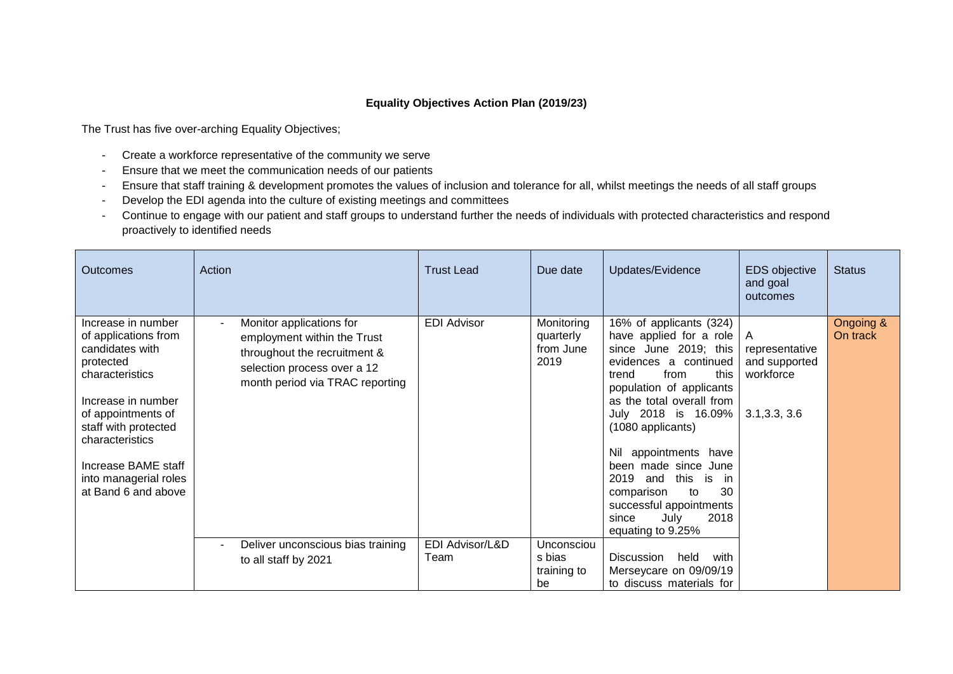## **Equality Objectives Action Plan (2019/23)**

The Trust has five over-arching Equality Objectives;

- Create a workforce representative of the community we serve
- Ensure that we meet the communication needs of our patients
- Ensure that staff training & development promotes the values of inclusion and tolerance for all, whilst meetings the needs of all staff groups
- Develop the EDI agenda into the culture of existing meetings and committees
- Continue to engage with our patient and staff groups to understand further the needs of individuals with protected characteristics and respond proactively to identified needs

| Outcomes                                                                                                                                                                                                                                                    | Action                                                                                                                                                    | <b>Trust Lead</b>       | Due date                                     | Updates/Evidence                                                                                                                                                                                                                                                                                                                                                                                                               | EDS objective<br>and goal<br>outcomes                              | <b>Status</b>         |
|-------------------------------------------------------------------------------------------------------------------------------------------------------------------------------------------------------------------------------------------------------------|-----------------------------------------------------------------------------------------------------------------------------------------------------------|-------------------------|----------------------------------------------|--------------------------------------------------------------------------------------------------------------------------------------------------------------------------------------------------------------------------------------------------------------------------------------------------------------------------------------------------------------------------------------------------------------------------------|--------------------------------------------------------------------|-----------------------|
| Increase in number<br>of applications from<br>candidates with<br>protected<br>characteristics<br>Increase in number<br>of appointments of<br>staff with protected<br>characteristics<br>Increase BAME staff<br>into managerial roles<br>at Band 6 and above | Monitor applications for<br>employment within the Trust<br>throughout the recruitment &<br>selection process over a 12<br>month period via TRAC reporting | <b>EDI Advisor</b>      | Monitoring<br>quarterly<br>from June<br>2019 | 16% of applicants (324)<br>have applied for a role<br>since June 2019; this<br>evidences a continued<br>this<br>from<br>trend<br>population of applicants<br>as the total overall from<br>July 2018 is 16.09%<br>(1080 applicants)<br>appointments have<br>Nil<br>been made since June<br>2019<br>this<br>and<br>is<br>- in<br>30<br>comparison<br>to<br>successful appointments<br>2018<br>July<br>since<br>equating to 9.25% | A<br>representative<br>and supported<br>workforce<br>3.1, 3.3, 3.6 | Ongoing &<br>On track |
|                                                                                                                                                                                                                                                             | Deliver unconscious bias training<br>$\blacksquare$<br>to all staff by 2021                                                                               | EDI Advisor/L&D<br>Team | Unconsciou<br>s bias<br>training to<br>be    | held<br>Discussion<br>with<br>Merseycare on 09/09/19<br>to discuss materials for                                                                                                                                                                                                                                                                                                                                               |                                                                    |                       |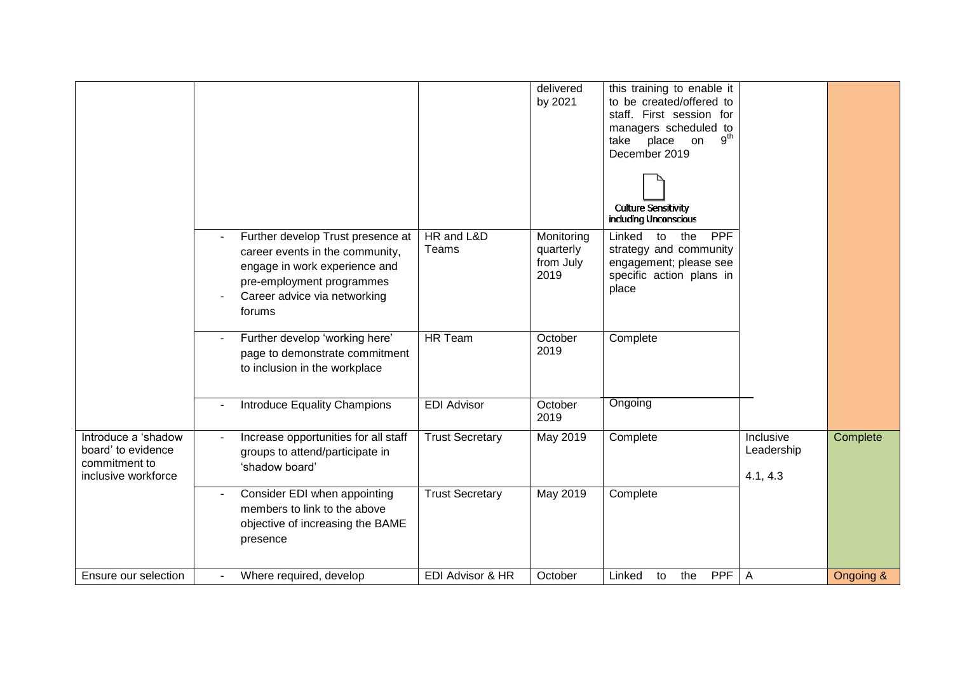|                                                                                   |                                                                                                                                                                                                |                             | delivered<br>by 2021                         | this training to enable it<br>to be created/offered to<br>staff. First session for<br>managers scheduled to<br>$9^{th}$<br>take<br>place<br>on<br>December 2019<br><b>Culture Sensitivity</b><br>including Unconscious |                                            |           |
|-----------------------------------------------------------------------------------|------------------------------------------------------------------------------------------------------------------------------------------------------------------------------------------------|-----------------------------|----------------------------------------------|------------------------------------------------------------------------------------------------------------------------------------------------------------------------------------------------------------------------|--------------------------------------------|-----------|
|                                                                                   | Further develop Trust presence at<br>$\blacksquare$<br>career events in the community,<br>engage in work experience and<br>pre-employment programmes<br>Career advice via networking<br>forums | HR and L&D<br>Teams         | Monitoring<br>quarterly<br>from July<br>2019 | <b>PPF</b><br>Linked<br>the<br>to<br>strategy and community<br>engagement; please see<br>specific action plans in<br>place                                                                                             |                                            |           |
|                                                                                   | Further develop 'working here'<br>page to demonstrate commitment<br>to inclusion in the workplace                                                                                              | <b>HR Team</b>              | October<br>2019                              | Complete                                                                                                                                                                                                               |                                            |           |
|                                                                                   | <b>Introduce Equality Champions</b><br>$\overline{\phantom{a}}$                                                                                                                                | <b>EDI Advisor</b>          | October<br>2019                              | Ongoing                                                                                                                                                                                                                |                                            |           |
| Introduce a 'shadow<br>board' to evidence<br>commitment to<br>inclusive workforce | Increase opportunities for all staff<br>groups to attend/participate in<br>'shadow board'                                                                                                      | <b>Trust Secretary</b>      | May 2019                                     | Complete                                                                                                                                                                                                               | <b>Inclusive</b><br>Leadership<br>4.1, 4.3 | Complete  |
|                                                                                   | Consider EDI when appointing<br>members to link to the above<br>objective of increasing the BAME<br>presence                                                                                   | <b>Trust Secretary</b>      | May 2019                                     | Complete                                                                                                                                                                                                               |                                            |           |
| Ensure our selection                                                              | Where required, develop                                                                                                                                                                        | <b>EDI Advisor &amp; HR</b> | October                                      | <b>PPF</b><br>Linked<br>the<br>to                                                                                                                                                                                      | $\mathsf{A}$                               | Ongoing & |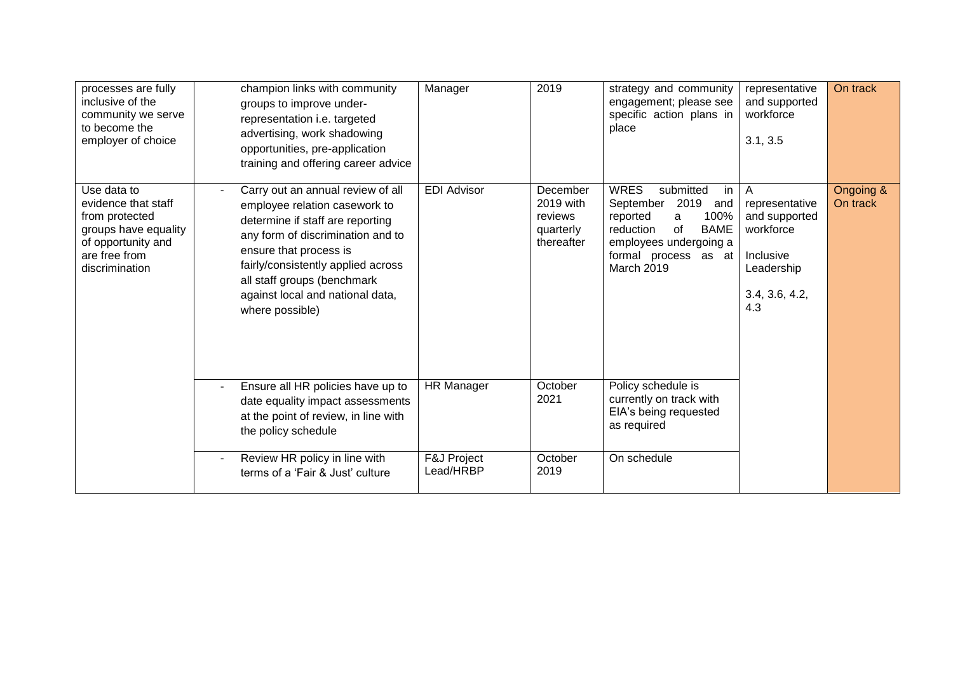| processes are fully<br>inclusive of the<br>community we serve<br>to become the<br>employer of choice                                  | champion links with community<br>groups to improve under-<br>representation i.e. targeted<br>advertising, work shadowing<br>opportunities, pre-application<br>training and offering career advice                                                                                                 | Manager                  | 2019                                                        | strategy and community<br>engagement; please see<br>specific action plans in<br>place                                                                                                 | representative<br>and supported<br>workforce<br>3.1, 3.5                                              | On track              |
|---------------------------------------------------------------------------------------------------------------------------------------|---------------------------------------------------------------------------------------------------------------------------------------------------------------------------------------------------------------------------------------------------------------------------------------------------|--------------------------|-------------------------------------------------------------|---------------------------------------------------------------------------------------------------------------------------------------------------------------------------------------|-------------------------------------------------------------------------------------------------------|-----------------------|
| Use data to<br>evidence that staff<br>from protected<br>groups have equality<br>of opportunity and<br>are free from<br>discrimination | Carry out an annual review of all<br>employee relation casework to<br>determine if staff are reporting<br>any form of discrimination and to<br>ensure that process is<br>fairly/consistently applied across<br>all staff groups (benchmark<br>against local and national data,<br>where possible) | <b>EDI Advisor</b>       | December<br>2019 with<br>reviews<br>quarterly<br>thereafter | <b>WRES</b><br>submitted<br>in<br>2019<br>September<br>and<br>100%<br>reported<br>a<br>of<br><b>BAME</b><br>reduction<br>employees undergoing a<br>formal process as at<br>March 2019 | A<br>representative<br>and supported<br>workforce<br>Inclusive<br>Leadership<br>3.4, 3.6, 4.2,<br>4.3 | Ongoing &<br>On track |
|                                                                                                                                       | Ensure all HR policies have up to<br>date equality impact assessments<br>at the point of review, in line with<br>the policy schedule                                                                                                                                                              | <b>HR Manager</b>        | October<br>2021                                             | Policy schedule is<br>currently on track with<br>EIA's being requested<br>as required                                                                                                 |                                                                                                       |                       |
|                                                                                                                                       | Review HR policy in line with<br>terms of a 'Fair & Just' culture                                                                                                                                                                                                                                 | F&J Project<br>Lead/HRBP | October<br>2019                                             | On schedule                                                                                                                                                                           |                                                                                                       |                       |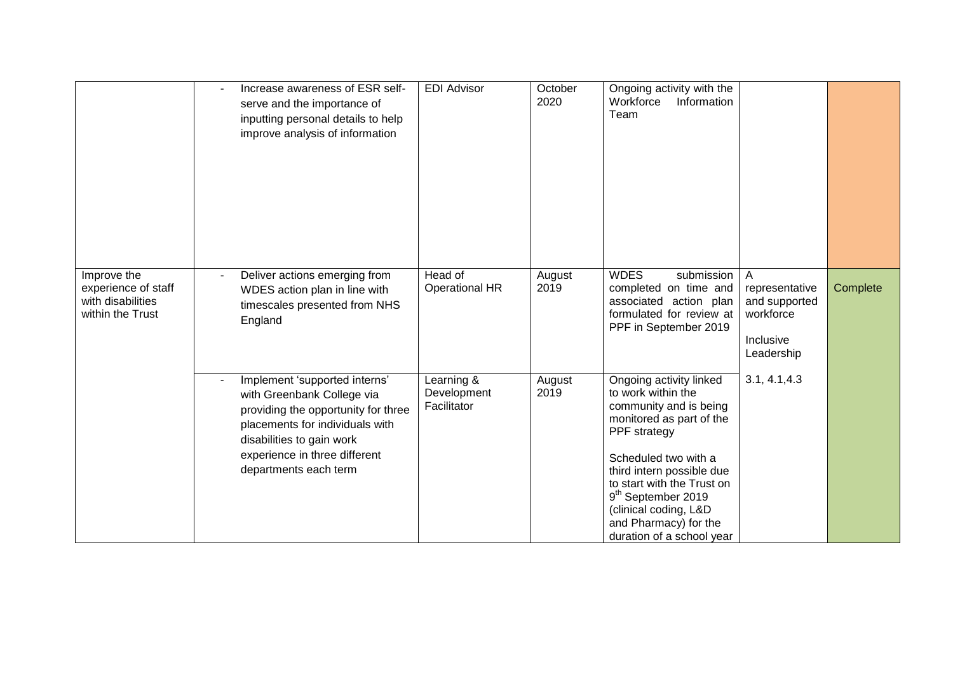|                                                                             | Increase awareness of ESR self-<br>serve and the importance of<br>inputting personal details to help<br>improve analysis of information                                                                                      | <b>EDI Advisor</b>                       | October<br>2020 | Ongoing activity with the<br>Workforce<br>Information<br>Team                                                                                                                                                                                                                                                           |                                                                              |          |
|-----------------------------------------------------------------------------|------------------------------------------------------------------------------------------------------------------------------------------------------------------------------------------------------------------------------|------------------------------------------|-----------------|-------------------------------------------------------------------------------------------------------------------------------------------------------------------------------------------------------------------------------------------------------------------------------------------------------------------------|------------------------------------------------------------------------------|----------|
| Improve the<br>experience of staff<br>with disabilities<br>within the Trust | Deliver actions emerging from<br>WDES action plan in line with<br>timescales presented from NHS<br>England                                                                                                                   | Head of<br><b>Operational HR</b>         | August<br>2019  | <b>WDES</b><br>submission<br>completed on time and<br>associated action plan<br>formulated for review at<br>PPF in September 2019                                                                                                                                                                                       | A<br>representative<br>and supported<br>workforce<br>Inclusive<br>Leadership | Complete |
|                                                                             | Implement 'supported interns'<br>with Greenbank College via<br>providing the opportunity for three<br>placements for individuals with<br>disabilities to gain work<br>experience in three different<br>departments each term | Learning &<br>Development<br>Facilitator | August<br>2019  | Ongoing activity linked<br>to work within the<br>community and is being<br>monitored as part of the<br>PPF strategy<br>Scheduled two with a<br>third intern possible due<br>to start with the Trust on<br>9 <sup>th</sup> September 2019<br>(clinical coding, L&D<br>and Pharmacy) for the<br>duration of a school year | 3.1, 4.1, 4.3                                                                |          |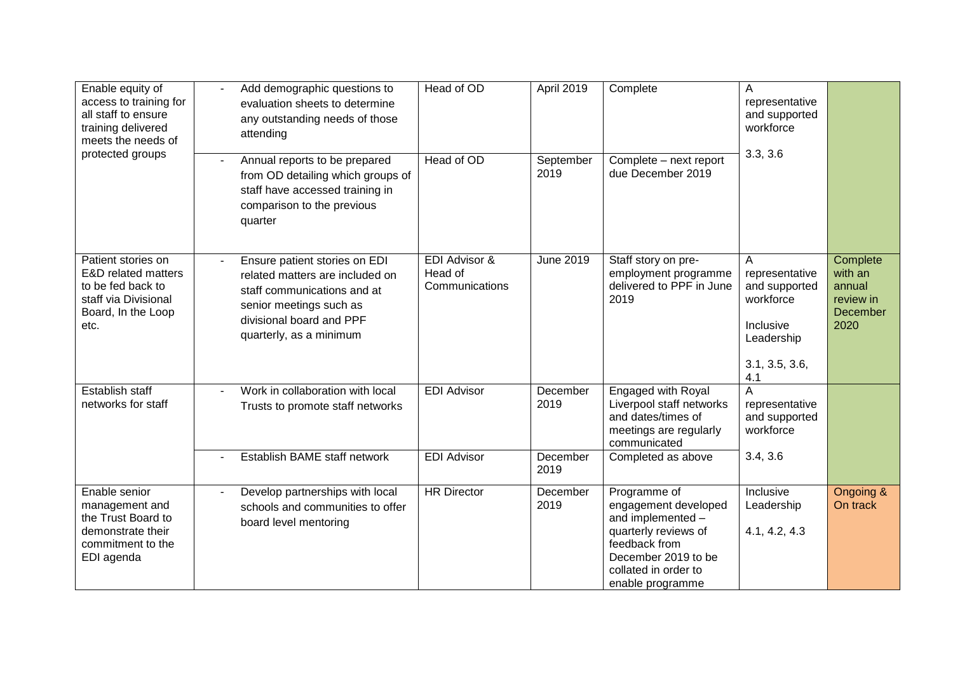| Enable equity of<br>access to training for<br>all staff to ensure<br>training delivered<br>meets the needs of        | Add demographic questions to<br>evaluation sheets to determine<br>any outstanding needs of those<br>attending                                                                     | Head of OD                                 | April 2019        | Complete                                                                                                                                                              | A<br>representative<br>and supported<br>workforce                                                     |                                                                |
|----------------------------------------------------------------------------------------------------------------------|-----------------------------------------------------------------------------------------------------------------------------------------------------------------------------------|--------------------------------------------|-------------------|-----------------------------------------------------------------------------------------------------------------------------------------------------------------------|-------------------------------------------------------------------------------------------------------|----------------------------------------------------------------|
| protected groups                                                                                                     | Annual reports to be prepared<br>from OD detailing which groups of<br>staff have accessed training in<br>comparison to the previous<br>quarter                                    | Head of OD                                 | September<br>2019 | Complete - next report<br>due December 2019                                                                                                                           | 3.3, 3.6                                                                                              |                                                                |
| Patient stories on<br>E&D related matters<br>to be fed back to<br>staff via Divisional<br>Board, In the Loop<br>etc. | Ensure patient stories on EDI<br>related matters are included on<br>staff communications and at<br>senior meetings such as<br>divisional board and PPF<br>quarterly, as a minimum | EDI Advisor &<br>Head of<br>Communications | <b>June 2019</b>  | Staff story on pre-<br>employment programme<br>delivered to PPF in June<br>2019                                                                                       | A<br>representative<br>and supported<br>workforce<br>Inclusive<br>Leadership<br>3.1, 3.5, 3.6,<br>4.1 | Complete<br>with an<br>annual<br>review in<br>December<br>2020 |
| Establish staff<br>networks for staff                                                                                | Work in collaboration with local<br>$\sim$<br>Trusts to promote staff networks                                                                                                    | <b>EDI Advisor</b>                         | December<br>2019  | Engaged with Royal<br>Liverpool staff networks<br>and dates/times of<br>meetings are regularly<br>communicated                                                        | A<br>representative<br>and supported<br>workforce                                                     |                                                                |
|                                                                                                                      | Establish BAME staff network                                                                                                                                                      | <b>EDI Advisor</b>                         | December<br>2019  | Completed as above                                                                                                                                                    | 3.4, 3.6                                                                                              |                                                                |
| Enable senior<br>management and<br>the Trust Board to<br>demonstrate their<br>commitment to the<br>EDI agenda        | Develop partnerships with local<br>$\blacksquare$<br>schools and communities to offer<br>board level mentoring                                                                    | <b>HR Director</b>                         | December<br>2019  | Programme of<br>engagement developed<br>and implemented -<br>quarterly reviews of<br>feedback from<br>December 2019 to be<br>collated in order to<br>enable programme | Inclusive<br>Leadership<br>4.1, 4.2, 4.3                                                              | Ongoing &<br>On track                                          |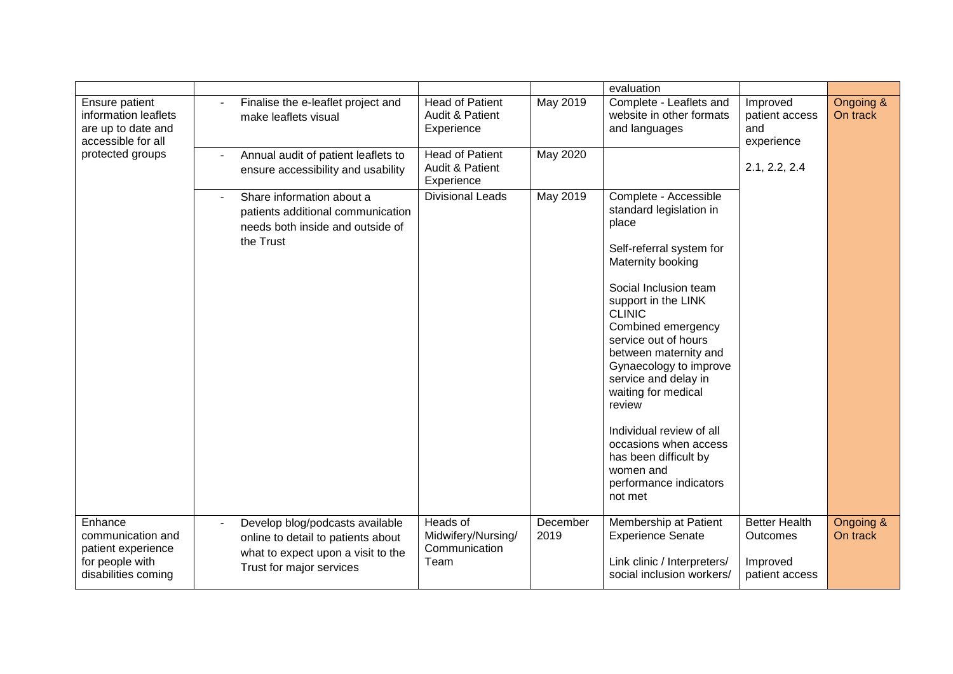|                                                                                              |                                                                                                                                         |                                                         |                  | evaluation                                                                                                                                                                                     |                                                                       |                       |
|----------------------------------------------------------------------------------------------|-----------------------------------------------------------------------------------------------------------------------------------------|---------------------------------------------------------|------------------|------------------------------------------------------------------------------------------------------------------------------------------------------------------------------------------------|-----------------------------------------------------------------------|-----------------------|
| Ensure patient<br>information leaflets<br>are up to date and<br>accessible for all           | Finalise the e-leaflet project and<br>make leaflets visual                                                                              | <b>Head of Patient</b><br>Audit & Patient<br>Experience | May 2019         | Complete - Leaflets and<br>website in other formats<br>and languages                                                                                                                           | Improved<br>patient access<br>and<br>experience                       | Ongoing &<br>On track |
| protected groups                                                                             | Annual audit of patient leaflets to<br>ensure accessibility and usability                                                               | <b>Head of Patient</b><br>Audit & Patient<br>Experience | May 2020         |                                                                                                                                                                                                | 2.1, 2.2, 2.4                                                         |                       |
|                                                                                              | Share information about a<br>patients additional communication<br>needs both inside and outside of<br>the Trust                         | <b>Divisional Leads</b>                                 | May 2019         | Complete - Accessible<br>standard legislation in<br>place<br>Self-referral system for                                                                                                          |                                                                       |                       |
|                                                                                              |                                                                                                                                         |                                                         |                  | Maternity booking<br>Social Inclusion team                                                                                                                                                     |                                                                       |                       |
|                                                                                              |                                                                                                                                         |                                                         |                  | support in the LINK<br><b>CLINIC</b><br>Combined emergency<br>service out of hours<br>between maternity and<br>Gynaecology to improve<br>service and delay in<br>waiting for medical<br>review |                                                                       |                       |
|                                                                                              |                                                                                                                                         |                                                         |                  | Individual review of all<br>occasions when access<br>has been difficult by<br>women and<br>performance indicators<br>not met                                                                   |                                                                       |                       |
| Enhance<br>communication and<br>patient experience<br>for people with<br>disabilities coming | Develop blog/podcasts available<br>online to detail to patients about<br>what to expect upon a visit to the<br>Trust for major services | Heads of<br>Midwifery/Nursing/<br>Communication<br>Team | December<br>2019 | Membership at Patient<br><b>Experience Senate</b><br>Link clinic / Interpreters/<br>social inclusion workers/                                                                                  | <b>Better Health</b><br><b>Outcomes</b><br>Improved<br>patient access | Ongoing &<br>On track |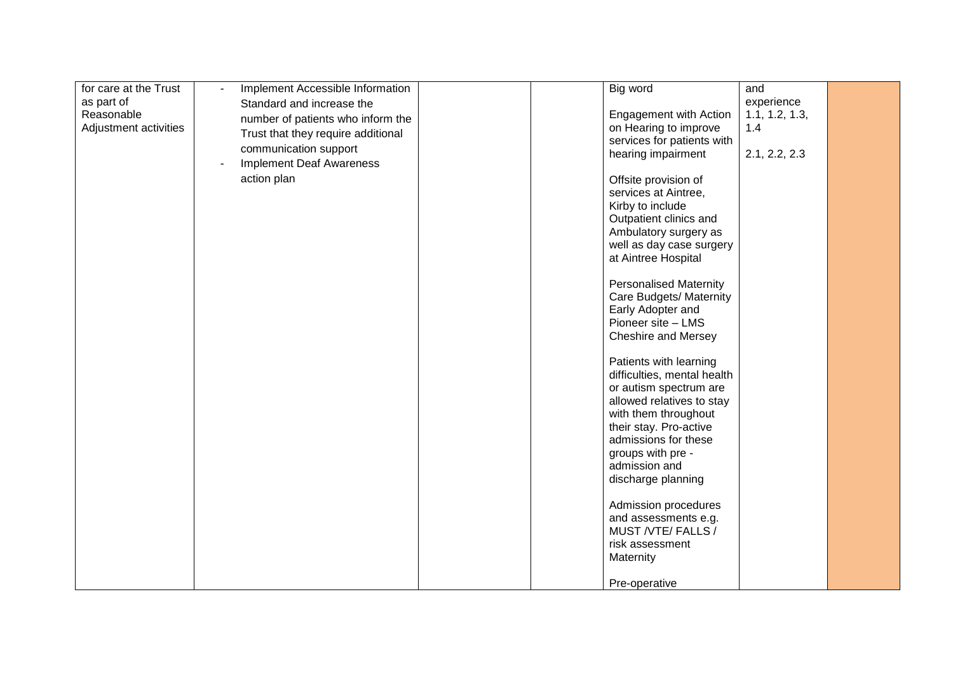| for care at the Trust | Implement Accessible Information   | Big word                                     | and            |  |
|-----------------------|------------------------------------|----------------------------------------------|----------------|--|
| as part of            | Standard and increase the          |                                              | experience     |  |
| Reasonable            |                                    | Engagement with Action                       | 1.1, 1.2, 1.3, |  |
| Adjustment activities | number of patients who inform the  | on Hearing to improve                        | 1.4            |  |
|                       | Trust that they require additional | services for patients with                   |                |  |
|                       | communication support              | hearing impairment                           | 2.1, 2.2, 2.3  |  |
|                       | <b>Implement Deaf Awareness</b>    |                                              |                |  |
|                       | action plan                        |                                              |                |  |
|                       |                                    | Offsite provision of<br>services at Aintree, |                |  |
|                       |                                    |                                              |                |  |
|                       |                                    | Kirby to include                             |                |  |
|                       |                                    | Outpatient clinics and                       |                |  |
|                       |                                    | Ambulatory surgery as                        |                |  |
|                       |                                    | well as day case surgery                     |                |  |
|                       |                                    | at Aintree Hospital                          |                |  |
|                       |                                    | <b>Personalised Maternity</b>                |                |  |
|                       |                                    | Care Budgets/ Maternity                      |                |  |
|                       |                                    | Early Adopter and                            |                |  |
|                       |                                    | Pioneer site - LMS                           |                |  |
|                       |                                    | Cheshire and Mersey                          |                |  |
|                       |                                    |                                              |                |  |
|                       |                                    | Patients with learning                       |                |  |
|                       |                                    | difficulties, mental health                  |                |  |
|                       |                                    | or autism spectrum are                       |                |  |
|                       |                                    | allowed relatives to stay                    |                |  |
|                       |                                    | with them throughout                         |                |  |
|                       |                                    | their stay. Pro-active                       |                |  |
|                       |                                    | admissions for these                         |                |  |
|                       |                                    | groups with pre -                            |                |  |
|                       |                                    | admission and                                |                |  |
|                       |                                    | discharge planning                           |                |  |
|                       |                                    |                                              |                |  |
|                       |                                    | Admission procedures                         |                |  |
|                       |                                    | and assessments e.g.                         |                |  |
|                       |                                    | MUST /VTE/ FALLS /                           |                |  |
|                       |                                    | risk assessment                              |                |  |
|                       |                                    | Maternity                                    |                |  |
|                       |                                    |                                              |                |  |
|                       |                                    | Pre-operative                                |                |  |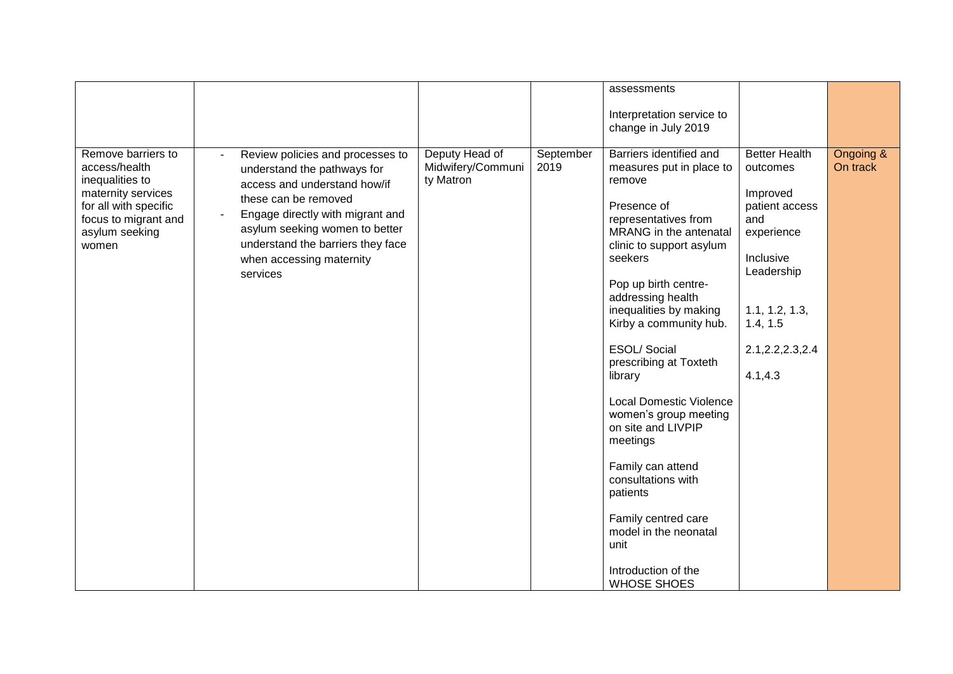|                                                                                                                                                          |                                                                                                                                                                                                                                                                                              |                                                  |                   | assessments                                                                                                                                                                                                                                                                                                                                                                                                                                                                                                                                                                                |                                                                                                                                                                                |                       |
|----------------------------------------------------------------------------------------------------------------------------------------------------------|----------------------------------------------------------------------------------------------------------------------------------------------------------------------------------------------------------------------------------------------------------------------------------------------|--------------------------------------------------|-------------------|--------------------------------------------------------------------------------------------------------------------------------------------------------------------------------------------------------------------------------------------------------------------------------------------------------------------------------------------------------------------------------------------------------------------------------------------------------------------------------------------------------------------------------------------------------------------------------------------|--------------------------------------------------------------------------------------------------------------------------------------------------------------------------------|-----------------------|
|                                                                                                                                                          |                                                                                                                                                                                                                                                                                              |                                                  |                   | Interpretation service to<br>change in July 2019                                                                                                                                                                                                                                                                                                                                                                                                                                                                                                                                           |                                                                                                                                                                                |                       |
| Remove barriers to<br>access/health<br>inequalities to<br>maternity services<br>for all with specific<br>focus to migrant and<br>asylum seeking<br>women | Review policies and processes to<br>understand the pathways for<br>access and understand how/if<br>these can be removed<br>Engage directly with migrant and<br>$\blacksquare$<br>asylum seeking women to better<br>understand the barriers they face<br>when accessing maternity<br>services | Deputy Head of<br>Midwifery/Communi<br>ty Matron | September<br>2019 | Barriers identified and<br>measures put in place to<br>remove<br>Presence of<br>representatives from<br>MRANG in the antenatal<br>clinic to support asylum<br>seekers<br>Pop up birth centre-<br>addressing health<br>inequalities by making<br>Kirby a community hub.<br><b>ESOL/Social</b><br>prescribing at Toxteth<br>library<br><b>Local Domestic Violence</b><br>women's group meeting<br>on site and LIVPIP<br>meetings<br>Family can attend<br>consultations with<br>patients<br>Family centred care<br>model in the neonatal<br>unit<br>Introduction of the<br><b>WHOSE SHOES</b> | <b>Better Health</b><br>outcomes<br>Improved<br>patient access<br>and<br>experience<br>Inclusive<br>Leadership<br>1.1, 1.2, 1.3,<br>1.4, 1.5<br>2.1, 2.2, 2.3, 2.4<br>4.1, 4.3 | Ongoing &<br>On track |